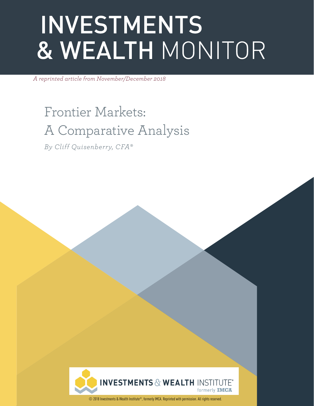# **INVESTMENTS** & WEALTH MONITOR

*A reprinted article from November/December 2018*

Frontier Markets: A Comparative Analysis

*By Cliff Quisenberry, CFA®*



© 2018 Investments & Wealth Institute®, formerly IMCA. Reprinted with permission. All rights reserved.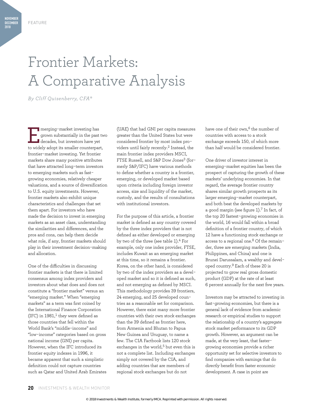# Frontier Markets: A Comparative Analysis

*By Cliff Quisenberry, CFA®*

merging-market investing has<br>grown substantially in the past<br>decades, but investors have yet<br>to widely adopt its amaller counterpart grown substantially in the past two decades, but investors have yet to widely adopt its smaller counterpart, frontier-market investing. Yet frontier markets share many positive attributes that have attracted long-term investors to emerging markets such as fastgrowing economies, relatively cheaper valuations, and a source of diversification to U.S. equity investments. However, frontier markets also exhibit unique characteristics and challenges that set them apart. For investors who have made the decision to invest in emerging markets as an asset class, understanding the similarities and differences, and the pros and cons, can help them decide what role, if any, frontier markets should play in their investment decision-making and allocation.

One of the difficulties in discussing frontier markets is that there is limited consensus among index providers and investors about what does and does not constitute a "frontier market" versus an "emerging market." When "emerging markets" as a term was first coined by the International Finance Corporation (IFC) in  $1981$ ,<sup>1</sup> they were defined as those countries that fell within the World Bank's "middle-income" and "low-income" categories based on gross national income (GNI) per capita. However, when the IFC introduced its frontier equity indexes in 1996, it became apparent that such a simplistic definition could not capture countries such as Qatar and United Arab Emirates

(UAE) that had GNI per capita measures greater than the United States but were considered frontier by most index providers until fairly recently.2 Instead, the main frontier index providers MSCI, FTSE Russell, and S&P Dow Jones<sup>3</sup> (formerly S&P/IFC) have various methods to define whether a country is a frontier, emerging, or developed market based upon criteria including foreign investor access, size and liquidity of the market, custody, and the results of consultations with institutional investors.

For the purpose of this article, a frontier market is defined as any country covered by the three index providers that is not defined as either developed or emerging by two of the three (see table 1).<sup>4</sup> For example, only one index provider, FTSE, includes Kuwait as an emerging market at this time, so it remains a frontier. Korea, on the other hand, is considered by two of the index providers as a developed market and so it is defined as such, and not emerging as defined by MSCI. This methodology provides 39 frontiers, 24 emerging, and 25 developed countries as a reasonable set for comparison. However, there exist many more frontier countries with their own stock exchanges than the 39 defined as frontier here, from Armenia and Bhutan to Papua New Guinea and Uruguay, to name a few. The CIA Factbook lists 120 stock exchanges in the world,<sup>5</sup> but even this is not a complete list. Including exchanges simply not covered by the CIA, and adding countries that are members of regional stock exchanges but do not

have one of their own,<sup>6</sup> the number of countries with access to a stock exchange exceeds 150, of which more than half would be considered frontier.

One driver of investor interest in emerging-market equities has been the prospect of capturing the growth of these markets' underlying economies. In that regard, the average frontier country shares similar growth prospects as its larger emerging-market counterpart, and both beat the developed markets by a good margin (see figure  $1$ ).<sup>7</sup> In fact, of the top 20 fastest-growing economies in the world, 16 would fall within a broad definition of a frontier country, of which 12 have a functioning stock exchange or access to a regional one.<sup>8</sup> Of the remainder, three are emerging markets (India, Philippines, and China) and one is Brunei Darussalam, a wealthy and developed country.9 Each of these 20 is projected to grow real gross domestic product (GDP) at the rate of at least 6 percent annually for the next five years.

Investors may be attracted to investing in fast-growing economies, but there is a general lack of evidence from academic research or empirical studies to support the relationship of a country's aggregate stock market performance to its GDP growth. However, an argument can be made, at the very least, that fastergrowing economies provide a richer opportunity set for selective investors to find companies with earnings that do directly benefit from faster economic development. A case in point are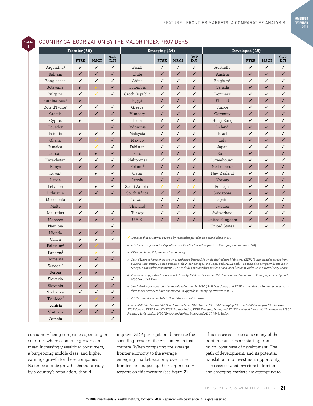**NOVEMBER DECEMBER 2018**

# COUNTRY CATEGORIZATION BY THE MAJOR INDEX PROVIDERS

**Table 1**

| Frontier (39)              |              |              | Emerging (24)     |                                                                                                                                                                                                                                                                                                                                                                                                                                                                                                                                      |              |                          | Developed (25)    |                      |             |              |            |  |  |
|----------------------------|--------------|--------------|-------------------|--------------------------------------------------------------------------------------------------------------------------------------------------------------------------------------------------------------------------------------------------------------------------------------------------------------------------------------------------------------------------------------------------------------------------------------------------------------------------------------------------------------------------------------|--------------|--------------------------|-------------------|----------------------|-------------|--------------|------------|--|--|
|                            | <b>FTSE</b>  | <b>MSCI</b>  | S&P<br><b>DJI</b> |                                                                                                                                                                                                                                                                                                                                                                                                                                                                                                                                      | <b>FTSE</b>  | <b>MSCI</b>              | S&P<br><b>DJI</b> |                      | <b>FTSE</b> | <b>MSCI</b>  | S&P<br>DJI |  |  |
| Argentina <sup>a</sup>     | ✓            | ✓            | ✓                 | Brazil                                                                                                                                                                                                                                                                                                                                                                                                                                                                                                                               | ✓            | ✓                        | ✓                 | Australia            | ✓           | ✓            | ✓          |  |  |
| Bahrain                    | ✓            | ✓            | ✓                 | Chile                                                                                                                                                                                                                                                                                                                                                                                                                                                                                                                                | $\checkmark$ | ✓                        | $\checkmark$      | Austria              | ✓           | $\checkmark$ | ✓          |  |  |
| Bangladesh                 | ✓            | ✓            | ✓                 | China                                                                                                                                                                                                                                                                                                                                                                                                                                                                                                                                | ✓            | ✓                        | ✓                 | Belgiumb             | ✓           | ✓            | ✓          |  |  |
| Botswanaf                  | ✓            |              | ✓                 | Colombia                                                                                                                                                                                                                                                                                                                                                                                                                                                                                                                             | ✓            | ✓                        | ✓                 | Canada               | ✓           | ✓            | ✓          |  |  |
| Bulgariaf                  | ✓            |              | ✓                 | Czech Republic                                                                                                                                                                                                                                                                                                                                                                                                                                                                                                                       | ✓            | ✓                        | ✓                 | Denmark              | ✓           | ✓            | ✓          |  |  |
| Burkina Faso <sup>c</sup>  | J            |              |                   | Egypt                                                                                                                                                                                                                                                                                                                                                                                                                                                                                                                                | J            | ✓                        | ✓                 | Finland              | ✓           | J            | ✓          |  |  |
| Cote d'Ivoire <sup>c</sup> | ✓            | ✓            | ✓                 | Greece                                                                                                                                                                                                                                                                                                                                                                                                                                                                                                                               | ✓            | ✓                        | ✓                 | France               | ✓           | ✓            | ✓          |  |  |
| Croatia                    | $\checkmark$ | $\checkmark$ | ✓                 | Hungary                                                                                                                                                                                                                                                                                                                                                                                                                                                                                                                              | $\checkmark$ | ✓                        | ✓                 | Germany              | ✓           | ✓            | ✓          |  |  |
| Cyprus                     | ✓            |              | ✓                 | India                                                                                                                                                                                                                                                                                                                                                                                                                                                                                                                                | ✓            | ✓                        | ✓                 | Hong Kong            | ✓           | ✓            | ✓          |  |  |
| Ecuador                    |              |              | ✓                 | Indonesia                                                                                                                                                                                                                                                                                                                                                                                                                                                                                                                            | ✓            | ✓                        | ✓                 | Ireland              | ✓           | ✓            | ✓          |  |  |
| Estonia                    | ✓            | ✓            | ✓                 | Malaysia                                                                                                                                                                                                                                                                                                                                                                                                                                                                                                                             | ✓            | ✓                        | ✓                 | Israel               | ✓           | ✓            | ✓          |  |  |
| Ghanaf                     | J            |              | ✓                 | Mexico                                                                                                                                                                                                                                                                                                                                                                                                                                                                                                                               | ✓            | ✓                        | ✓                 | Italy                | $\sqrt{2}$  | J            | ✓          |  |  |
| Jamaica <sup>f</sup>       |              | ℐ            | ✓                 | Pakistan                                                                                                                                                                                                                                                                                                                                                                                                                                                                                                                             | ✓            | ✓                        | ✓                 | Japan                | ✓           | ✓            | ✓          |  |  |
| Jordan                     | ✓            | ✓            | ✓                 | Peru                                                                                                                                                                                                                                                                                                                                                                                                                                                                                                                                 | ✓            | ✓                        | ✓                 | Korea                | ✓           |              | ✓          |  |  |
| Kazakhstan                 | ✓            | ✓            | ✓                 | Philippines                                                                                                                                                                                                                                                                                                                                                                                                                                                                                                                          | ✓            | ✓                        | ✓                 | Luxembourgb          | ✓           | ✓            | ✓          |  |  |
| Kenya                      | ✓            | ✓            | ✓                 | Poland <sup>d</sup>                                                                                                                                                                                                                                                                                                                                                                                                                                                                                                                  | ✓            | ✓                        | ✓                 | Netherlands          | ✓           | ✓            | ✓          |  |  |
| Kuwait                     |              | ✓            | ✓                 | Qatar                                                                                                                                                                                                                                                                                                                                                                                                                                                                                                                                | ✓            | ✓                        | ✓                 | New Zealand          | ✓           | ✓            | ✓          |  |  |
| Latvia                     | ✓            |              | ✓                 | Russia                                                                                                                                                                                                                                                                                                                                                                                                                                                                                                                               | ✓            | ✓                        | ✓                 | Norway               |             | J            | ✓          |  |  |
| Lebanon                    |              | ✓            | ✓                 | Saudi Arabia <sup>e</sup>                                                                                                                                                                                                                                                                                                                                                                                                                                                                                                            | ✓            | ✓                        | ✓                 | Portugal             | ✓           | ✓            | ✓          |  |  |
| Lithuania                  | ✓            |              | ✓                 | South Africa                                                                                                                                                                                                                                                                                                                                                                                                                                                                                                                         | ✓            | ✓                        | ✓                 | Singapore            | ✓           | ✓            | ✓          |  |  |
| Macedonia                  | ✓            |              |                   | Taiwan                                                                                                                                                                                                                                                                                                                                                                                                                                                                                                                               | ✓            | ✓                        | ✓                 | Spain                | ✓           | ✓            | ✓          |  |  |
| Malta                      | J            |              |                   | Thailand                                                                                                                                                                                                                                                                                                                                                                                                                                                                                                                             | $\checkmark$ | $\overline{\mathcal{L}}$ | ✓                 | Sweden               | J           | J            | ✓          |  |  |
| Mauritius                  | ✓            | ✓            | ✓                 | Turkey                                                                                                                                                                                                                                                                                                                                                                                                                                                                                                                               | ✓            | ✓                        | ✓                 | Switzerland          | ✓           | ✓            | ✓          |  |  |
| Morocco                    |              | ✓            | ✓                 | U.A.E.                                                                                                                                                                                                                                                                                                                                                                                                                                                                                                                               |              |                          | ✓                 | United Kingdom       |             |              |            |  |  |
| Namibia                    |              |              | ✓                 |                                                                                                                                                                                                                                                                                                                                                                                                                                                                                                                                      |              |                          |                   | <b>United States</b> | ✓           | ✓            |            |  |  |
| Nigeria                    | ✓            | ✓            | ✓                 |                                                                                                                                                                                                                                                                                                                                                                                                                                                                                                                                      |              |                          |                   |                      |             |              |            |  |  |
| Oman                       | ✓            | ✓            | ✓                 | $\sqrt{\phantom{a}}$ Denotes that country is covered by that index provider as a stand-alone index                                                                                                                                                                                                                                                                                                                                                                                                                                   |              |                          |                   |                      |             |              |            |  |  |
| Palestinef                 | J            |              |                   | a. MSCI currently includes Argentina as a Frontier but will upgrade to Emerging effective June 2019.<br>b. FTSE combines Belgium and Luxembourg.<br>c. Cote d'Ivoire is home of the regional exchange Bourse Régionale des Valeurs Mobilières (BRVM) that includes stocks from<br>Burkina Faso, Benin, Guinea-Bissau, Mali, Niger, Senegal, and Togo. Both MSCI and FTSE include a company domiciled in<br>Senegal as an index constituent, FTSE includes another from Burkina Faso. Both list them under Cote d'Ivoire/Ivory Coast. |              |                          |                   |                      |             |              |            |  |  |
| Panamaf                    |              | ℐ            | ✓                 |                                                                                                                                                                                                                                                                                                                                                                                                                                                                                                                                      |              |                          |                   |                      |             |              |            |  |  |
| Romania                    | ✓            | J            | ✓                 |                                                                                                                                                                                                                                                                                                                                                                                                                                                                                                                                      |              |                          |                   |                      |             |              |            |  |  |
| Senegal <sup>c</sup>       | √            | ✓            |                   |                                                                                                                                                                                                                                                                                                                                                                                                                                                                                                                                      |              |                          |                   |                      |             |              |            |  |  |
| Serbia                     | $\checkmark$ | J            |                   |                                                                                                                                                                                                                                                                                                                                                                                                                                                                                                                                      |              |                          |                   |                      |             |              |            |  |  |
| Slovakia                   | ✓            |              | ✓                 | d. Poland was upgraded to Developed status by FTSE in September 2018 but remains defined as an Emerging market by both<br>MSCI and S&P Dow.<br>e. Saudi Arabia, designated a "stand-alone" market by MSCI, S&P Dow Jones, and FTSE, is included as Emerging because all<br>three index providers have announced its upgrade to Emerging effective in 2019.                                                                                                                                                                           |              |                          |                   |                      |             |              |            |  |  |
| Slovenia                   | $\checkmark$ | J            | ✓                 |                                                                                                                                                                                                                                                                                                                                                                                                                                                                                                                                      |              |                          |                   |                      |             |              |            |  |  |
| Sri Lanka                  | ✓            | ✓            | ✓                 |                                                                                                                                                                                                                                                                                                                                                                                                                                                                                                                                      |              |                          |                   |                      |             |              |            |  |  |
| Trinidadf                  |              |              | ✓                 | f. MSCI covers these markets in their "stand-alone" indexes.                                                                                                                                                                                                                                                                                                                                                                                                                                                                         |              |                          |                   |                      |             |              |            |  |  |
| Tunisia                    | ✓            | ✓            | ✓                 | Source: S&P DJI denotes S&P Dow Jones Indexes' S&P Frontier BMI, S&P Emerging BMI, and S&P Developed BMI indexes.<br>FTSE denotes FTSE Russell's FTSE Frontier Index, FTSE Emerging Index, and FTSE Developed Index. MSCI denotes the MSCI                                                                                                                                                                                                                                                                                           |              |                          |                   |                      |             |              |            |  |  |
|                            |              |              |                   |                                                                                                                                                                                                                                                                                                                                                                                                                                                                                                                                      |              |                          |                   |                      |             |              |            |  |  |

consumer-facing companies operating in countries where economic growth can mean increasingly wealthier consumers, a burgeoning middle class, and higher earnings growth for these companies. Faster economic growth, shared broadly by a country's population, should

Vietnam Zambia ✓

> improve GDP per capita and increase the spending power of the consumers in that country. When comparing the average frontier economy to the average emerging-market economy over time, frontiers are outpacing their larger counterparts on this measure (see figure 2).

*Frontier Market Index, MSCI Emerging Markets Index, and MSCI World Index.*

This makes sense because many of the frontier countries are starting from a much lower base of development. The path of development, and its potential translation into investment opportunity, is in essence what investors in frontier and emerging markets are attempting to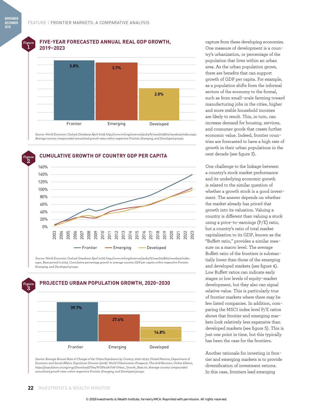**1**

#### **Figure FIVE-YEAR FORECASTED ANNUAL REAL GDP GROWTH, 2019–2023**



*Source: World Economic Outlook Database April 2018, http://www.imf.org/external/pubs/ft/weo/2018/01/weodata/index.aspx. Average country compounded annualized growth rates within respective Frontier, Emerging, and Developed groups.* 



*Source: World Economic Outlook Database April 2018, http://www.imf.org/external/pubs/ft/weo/2018/01/weodata/index. aspx. Base period is 2003. Cumulative percentage growth in average country GDP per capita within respective Frontier, Emerging, and Developed groups.*



*Source: Average Annual Rate of Change of the Urban Population by Country, 2020–2030, United Nations, Department of Economic and Social Affairs, Population Division (2018). World Urbanization Prospects: The 2018 Revision, Online Edition, https://population.un.org/wup/Download/Files/WUP2018-F06-Urban\_Growth\_Rate.xls. Average country compounded annualized growth rates within respective Frontier, Emerging, and Developed groups.* 

capture from these developing economies. One measure of development is a country's urbanization, or percentage of the population that lives within an urban area. As the urban population grows, there are benefits that can support growth of GDP per capita. For example, as a population shifts from the informal sectors of the economy to the formal, such as from small-scale farming toward manufacturing jobs in the cities, higher and more stable household incomes are likely to result. This, in turn, can increase demand for housing, services, and consumer goods that create further economic value. Indeed, frontier countries are forecasted to have a high rate of growth in their urban populations in the next decade (see figure 3).

One challenge to the linkage between a country's stock market performance and its underlying economic growth is related to the similar question of whether a growth stock is a good investment. The answer depends on whether the market already has priced that growth into its valuation. Valuing a country is different than valuing a stock using a price-to-earnings (P/E) ratio, but a country's ratio of total market capitalization to its GDP, known as the "Buffett ratio," provides a similar measure on a macro level. The average Buffett ratio of the frontiers is substantially lower than those of the emerging and developed markets (see figure 4). Low Buffett ratios can indicate early stages or low levels of equity-market development, but they also can signal relative value. This is particularly true of frontier markets where there may be few listed companies. In addition, comparing the MSCI index level P/E ratios shows that frontier and emerging markets look relatively less expensive than developed markets (see figure 5). This is just one point in time, but this typically has been the case for the frontiers.

Another rationale for investing in frontier and emerging markets is to provide diversification of investment returns. In this case, frontiers lead emerging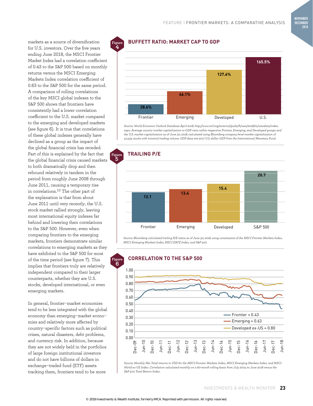markets as a source of diversification for U.S. investors. Over the five years ending June 2018, the MSCI Frontier Market Index had a correlation coefficient of 0.43 to the S&P 500 based on monthly returns versus the MSCI Emerging Markets Index correlation coefficient of 0.63 to the S&P 500 for the same period. A comparison of rolling correlations of the key MSCI global indexes to the S&P 500 shows that frontiers have consistently had a lower correlation coefficient to the U.S. market compared to the emerging and developed markets (see figure 6). It is true that correlations of these global indexes generally have declined as a group as the impact of the global financial crisis has receded. Part of this is explained by the fact that the global financial crisis caused markets to both dramatically drop and then rebound relatively in tandem in the period from roughly June 2008 through June 2011, causing a temporary rise in correlations.10 The other part of the explanation is that from about June 2011 until very recently, the U.S. stock market rallied strongly, leaving most international equity indexes far behind and lowering their correlations to the S&P 500. However, even when comparing frontiers to the emerging markets, frontiers demonstrate similar correlations to emerging markets as they have exhibited to the S&P 500 for most of the time period (see figure 7). This implies that frontiers truly are relatively independent compared to their larger counterparts, whether they are U.S. stocks, developed international, or even emerging markets.

In general, frontier-market economies tend to be less integrated with the global economy than emerging-market economies and relatively more affected by country-specific factors such as political crises, natural disasters, debt problems, and currency risk. In addition, because they are not widely held in the portfolios of large foreign institutional investors and do not have billions of dollars in exchange-traded fund (ETF) assets tracking them, frontiers tend to be more

## **BUFFETT RATIO: MARKET CAP TO GDP**

**Figure**



*Source: World Economic Outlook Database April 2018, http://www.imf.org/external/pubs/ft/weo/2018/01/weodata/index. aspx. Average country market capitalization to GDP ratio within respective Frontier, Emerging, and Developed groups and the U.S. market capitalization as of June 30, 2018, calculated using Bloomberg company-level market capitalization of 40,334 stocks with minimal trading volume. GDP data are 2017 U.S. dollar GDP from the International Monetary Fund.*



*Source: Bloomberg calculated trailing P/E ratios as of June 30, 2018, using constituents of the MSCI Frontier Markets Index, MSCI Emerging Markets Index, MSCI EAFE Index, and S&P 500.* 

![](_page_4_Figure_9.jpeg)

*Source: Monthly Net Total returns in USD for the MSCI Frontier Markets Index, MSCI Emerging Markets Index, and MSCI World ex-US Index. Correlation calculated monthly on a 60-month rolling basis from July 2004 to June 2018 versus the S&P 500 Total Return Index.*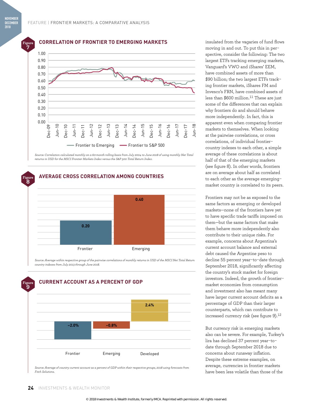**Figure 8**

#### **Figure CORRELATION OF FRONTIER TO EMERGING MARKETS**

![](_page_5_Figure_3.jpeg)

*Source: Correlation calculated monthly on a 60-month rolling basis from July 2004 to June 2018 of using monthly Net Total returns in USD for the MSCI Frontier Markets Index versus the S&P 500 Total Return Index.* 

### **AVERAGE CROSS CORRELATION AMONG COUNTRIES**

![](_page_5_Figure_6.jpeg)

*Source: Average within respective group of the pairwise correlations of monthly returns in USD of the MSCI Net Total Return country indexes from July 2013 through June 2018.*

![](_page_5_Figure_8.jpeg)

*Source: Average of country current account as a percent of GDP within their respective groups, 2018 using forecasts from Fitch Solutions.* 

insulated from the vagaries of fund flows moving in and out. To put this in perspective, consider the following: The two largest ETFs tracking emerging markets, Vanguard's VWO and iShares' EEM, have combined assets of more than \$90 billion; the two largest ETFs tracking frontier markets, iShares FM and Invesco's FRN, have combined assets of less than \$600 million.<sup>11</sup> These are just some of the differences that can explain why frontiers do and should behave more independently. In fact, this is apparent even when comparing frontier markets to themselves. When looking at the pairwise correlations, or cross correlations, of individual frontiercountry indexes to each other, a simple average of these correlations is about half of that of the emerging markets (see figure 8). In other words, frontiers are on average about half as correlated to each other as the average emergingmarket country is correlated to its peers.

Frontiers may not be as exposed to the same factors as emerging or developed markets—none of the frontiers have yet to have specific trade tariffs imposed on them—but the same factors that make them behave more independently also contribute to their unique risks. For example, concerns about Argentina's current account balance and external debt caused the Argentine peso to decline 55 percent year-to-date through September 2018, significantly affecting the country's stock market for foreign investors. Indeed, the growth of frontiermarket economies from consumption and investment also has meant many have larger current account deficits as a percentage of GDP than their larger counterparts, which can contribute to increased currency risk (see figure 9).<sup>12</sup>

But currency risk in emerging markets also can be severe. For example, Turkey's lira has declined 37 percent year-todate through September 2018 due to concerns about runaway inflation. Despite these extreme examples, on average, currencies in frontier markets have been less volatile than those of the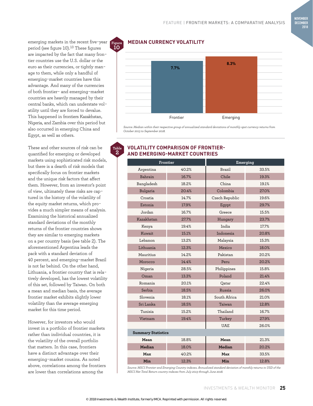emerging markets in the recent five-year period (see figure 10).<sup>13</sup> These figures are impacted by the fact that many frontier countries use the U.S. dollar or the euro as their currencies, or tightly manage to them, while only a handful of emerging-market countries have this advantage. And many of the currencies of both frontier- and emerging-market countries are heavily managed by their central banks, which can understate volatility until they are forced to devalue. This happened in frontiers Kazakhstan, Nigeria, and Zambia over this period but also occurred in emerging China and Egypt, as well as others.

These and other sources of risk can be quantified for emerging or developed markets using sophisticated risk models, but there is a dearth of risk models that specifically focus on frontier markets and the unique risk factors that affect them. However, from an investor's point of view, ultimately these risks are captured in the history of the volatility of the equity market returns, which provides a much simpler means of analysis. Examining the historical annualized standard deviations of the monthly returns of the frontier countries shows they are similar to emerging markets on a per country basis (see table 2). The aforementioned Argentina leads the pack with a standard deviation of 40 percent, and emerging-market Brazil is not far behind. On the other hand, Lithuania, a frontier country that is relatively developed, has the lowest volatility of this set, followed by Taiwan. On both a mean and median basis, the average frontier market exhibits slightly lower volatility than the average emerging market for this time period.

However, for investors who would invest in a portfolio of frontier markets rather than individual countries, it is the volatility of the overall portfolio that matters. In this case, frontiers have a distinct advantage over their emerging-market cousins. As noted above, correlations among the frontiers are lower than correlations among the

# **MEDIAN CURRENCY VOLATILITY**

![](_page_6_Figure_6.jpeg)

*Source: Median within their respective group of annualized standard deviations of monthly spot currency returns from October 2013 to September 2018.*

#### **VOLATILITY COMPARISON OF FRONTIER-AND EMERGING-MARKET COUNTRIES Table**

**2**

| Argentina                 |       |                |       |  |  |  |  |  |
|---------------------------|-------|----------------|-------|--|--|--|--|--|
|                           | 40.2% | Brazil         | 33.5% |  |  |  |  |  |
| Bahrain                   | 16.7% | Chile          | 19.3% |  |  |  |  |  |
| Bangladesh                | 18.2% | China          | 19.1% |  |  |  |  |  |
| Bulgaria                  | 20.4% | Colombia       | 27.0% |  |  |  |  |  |
| Croatia                   | 14.7% | Czech Republic | 19.6% |  |  |  |  |  |
| Estonia                   | 17.9% | Egypt          | 29.7% |  |  |  |  |  |
| Jordan                    | 16.7% | Greece         | 15.5% |  |  |  |  |  |
| Kazakhstan                | 27.7% | Hungary        | 23.7% |  |  |  |  |  |
| Kenya                     | 19.4% | India          | 17.7% |  |  |  |  |  |
| Kuwait                    | 15.1% | Indonesia      | 20.8% |  |  |  |  |  |
| Lebanon                   | 13.2% | Malaysia       | 15.3% |  |  |  |  |  |
| Lithuania                 | 12.3% | Mexico         | 18.0% |  |  |  |  |  |
| Mauritius                 | 14.2% | Pakistan       | 20.2% |  |  |  |  |  |
| Morocco                   | 14.4% | Peru           | 20.2% |  |  |  |  |  |
| Nigeria                   | 28.5% | Philippines    | 15.8% |  |  |  |  |  |
| Oman                      | 13.3% | Poland         | 21.4% |  |  |  |  |  |
| Romania                   | 20.1% | Qatar          | 22.4% |  |  |  |  |  |
| Serbia                    | 18.5% | Russia         | 26.0% |  |  |  |  |  |
| Slovenia                  | 18.1% | South Africa   | 21.0% |  |  |  |  |  |
| Sri Lanka                 | 18.5% | Taiwan         | 12.8% |  |  |  |  |  |
| Tunisia                   | 15.2% | Thailand       | 16.7% |  |  |  |  |  |
| Vietnam                   | 19.4% | Turkey         | 27.9% |  |  |  |  |  |
|                           |       | <b>UAE</b>     | 26.0% |  |  |  |  |  |
| <b>Summary Statistics</b> |       |                |       |  |  |  |  |  |
| Mean                      | 18.8% | Mean           | 21.3% |  |  |  |  |  |
| Median                    | 18.0% | Median         | 20.2% |  |  |  |  |  |
| Max                       | 40.2% | Max            | 33.5% |  |  |  |  |  |
| Min                       | 12.3% | Min            | 12.8% |  |  |  |  |  |

*Source: MSCI Frontier and Emerging Country indexes. Annualized standard deviation of monthly returns in USD of the MSCI Net Total Return country indexes from July 2013 through June 2018.*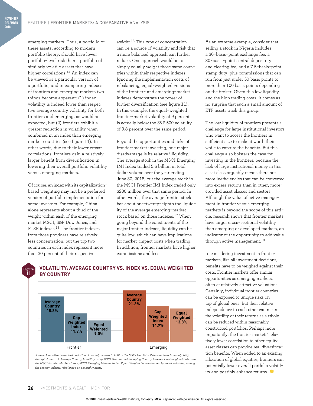emerging markets. Thus, a portfolio of these assets, according to modern portfolio theory, should have lower portfolio-level risk than a portfolio of similarly volatile assets that have higher correlations.14 An index can be viewed as a particular version of a portfolio, and in comparing indexes of frontiers and emerging markets two things become apparent: (1) index volatility is indeed lower than respective average country volatility for both frontiers and emerging, as would be expected, but (2) frontiers exhibit a greater reduction in volatility when combined in an index than emergingmarket countries (see figure 11). In other words, due to their lower crosscorrelations, frontiers gain a relatively larger benefit from diversification in lowering their overall portfolio volatility versus emerging markets.

Of course, an index with its capitalizationbased weighting may not be a preferred version of portfolio implementation for some investors. For example, China alone represents about a third of the weight within each of the emergingmarket MSCI, S&P Dow Jones, and FTSE indexes.15 The frontier indexes from those providers have relatively less concentration, but the top two countries in each index represent more than 30 percent of their respective

**BY COUNTRY**

weight.16 This type of concentration can be a source of volatility and risk that a more balanced approach can further reduce. One approach would be to simply equally weight those same countries within their respective indexes. Ignoring the implementation costs of rebalancing, equal-weighted versions of the frontier- and emerging-market indexes demonstrate the power of further diversification (see figure 11). In this example, the equal-weighted frontier-market volatility of 9 percent is actually below the S&P 500 volatility of 9.8 percent over the same period.

Beyond the opportunities and risks of frontier-market investing, one major disadvantage is its relative illiquidity. The average stock in the MSCI Emerging IMI Index traded 5.6 billion in total dollar volume over the year ending June 30, 2018, but the average stock in the MSCI Frontier IMI Index traded only \$200 million over that same period. In other words, the average frontier stock has about one-twenty-eighth the liquidity of the average emerging-market stock based on those indexes.17 When going beyond the constituents of the major frontier indexes, liquidity can be quite low, which can have implications for market-impact costs when trading. In addition, frontier markets have higher commissions and fees.

As an extreme example, consider that selling a stock in Nigeria includes a 30-basis-point exchange fee, a 30-basis-point central depository and clearing fee, and a 7.5-basis-point stamp duty, plus commissions that can run from just under 50 basis points to more than 100 basis points depending on the broker. Given this low liquidity and the high trading costs, it comes as no surprise that such a small amount of ETF assets track this group.

The low liquidity of frontiers presents a challenge for large institutional investors who want to access the frontiers in sufficient size to make it worth their while to capture the benefits. But this challenge also bolsters the case for investing in the frontiers, because the lack of large institutional money in this asset class arguably means there are more inefficiencies that can be converted into excess returns than in other, morecrowded asset classes and sectors. Although the value of active management in frontier versus emerging markets is beyond the scope of this article, research shows that frontier markets have larger cross-sectional volatility than emerging or developed markets, an indicator of the opportunity to add value through active management.<sup>18</sup>

In considering investment in frontier markets, like all investment decisions, benefits have to be weighed against their costs. Frontier markets offer similar opportunities as emerging markets, often at relatively attractive valuations. Certainly, individual frontier countries can be exposed to unique risks on top of global ones. But their relative independence to each other can mean the volatility of their returns as a whole can be reduced within reasonably constructed portfolios. Perhaps more importantly, the frontier markets' relatively lower correlation to other equity asset classes can provide real diversification benefits. When added to an existing allocation of global equities, frontiers can potentially lower overall portfolio volatility and possibly enhance returns.

#### **Figure 11**

**NOVEMBER DECEMBER 2018**

![](_page_7_Figure_9.jpeg)

**VOLATILITY: AVERAGE COUNTRY VS. INDEX VS. EQUAL WEIGHTED**

*Source: Annualized standard deviation of monthly returns in USD of the MSCI Net Total Return indexes from July 2013 through June 2018. Average Country Volatility using MSCI Frontier and Emerging Country Indexes. Cap Weighted Index are the MSCI Frontier Markets Index, MSCI Emerging Markets Index. Equal Weighted is constructed by equal weighting among the country indexes, rebalanced on a monthly basis.*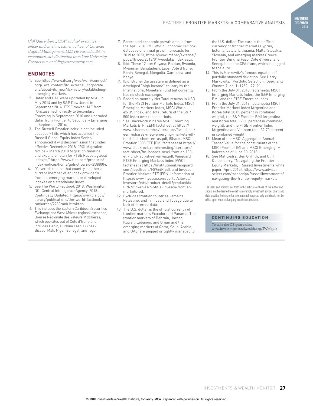*Cliff Quisenberry, CFA®, is chief executive officer and chief investment officer of Caravan Capital Management, LLC. He earned a BA in economics with distinction from Yale University. Contact him at cliffq@caravancap.com.*

#### **ENDNOTES**

- 1. See https://www.ifc.org/wps/wcm/connect/ corp\_ext\_content/ifc\_external\_corporate\_ site/about+ifc\_new/ifc+history/establishingemerging-markets.
- 2. Qatar and UAE were upgraded by MSCI in May 2014 and by S&P Dow Jones in September 2014. FTSE moved UAE from "Unclassified" directly to Secondary Emerging in September 2010 and upgraded Qatar from Frontier to Secondary Emerging in September 2016.
- 3. The Russell Frontier Index is not included because FTSE, which has acquired the Russell Global Equity Index Series, announced it will decommission that index effective December 2018. "RGI Migration Notice – March 2018 Migration timeline and expansion plan for FTSE Russell global indexes," https://www.ftse.com/products/ index-notices/home/getnotice/?id=2588004.
- 4. "Covered" means that country is either a current member of an index provider's frontier, emerging market, or developed indexes or a standalone index.
- 5. See The World Factbook 2018. Washington, DC: Central Intelligence Agency, 2018. Continually Updated. https://www.cia.gov/ library/publications/the-world-factbook/ rankorder/2200rank.html#gh.
- 6. This includes the Eastern Caribbean Securities Exchange and West Africa's regional exchange, Bourse Régionale des Valeurs Mobilières, which operates out of Cote d'Ivoire and includes Benin, Burkina Faso, Guinea-Bissau, Mali, Niger, Senegal, and Togo.
- 7. Forecasted economic growth data is from the April 2018 IMF World Economic Outlook database of annual growth forecasts for 2019 to 2023, https://www.imf.org/external/ pubs/ft/weo/2018/01/weodata/index.aspx.
- 8. Ibid. These 12 are: Guyana, Bhutan, Rwanda, Myanmar, Bangladesh, Laos, Cote d'Ivoire, Benin, Senegal, Mongolia, Cambodia, and Kenya.
- 9. Ibid. Brunei Darussalam is defined as a developed "high income" country by the International Monetary Fund but currently has no stock exchange.
- 10. Based on monthly Net Total returns in USD for the MSCI Frontier Markets Index, MSCI Emerging Markets Index, MSCI World ex-US Index, and Total return of the S&P 500 Index over those periods.
- 11. See BlackRock iShares MSCI Emerging Markets ETF (EEM) factsheet at https:// www.ishares.com/us/literature/fact-sheet/ eem-ishares-msci-emerging-markets-etffund-fact-sheet-en-us.pdf, iShares MSCI Frontier 1000 ETF (FM) factsheet at https:// www.blackrock.com/investing/literature/ fact-sheet/fm-ishares-msci-frontier-100 etf-fund-fact-sheet-en-us.pdf, Vanguard FTSE Emerging Markets Index (VWO) factsheet at https://institutional.vanguard. com/iippdf/pdfs/FS964R.pdf, and Invesco Frontier Markets ETF (FRN) information at https://www.invesco.com/portal/site/us/ investors/etfs/product-detail?productId=- FRN&ticker=FRN&title=invesco-frontiermarkets-etf.
- 12. Excludes frontier countries Jamaica, Palestine, and Trinidad and Tobago due to lack of forecast data.
- 13. The U.S. dollar is the official currency of frontier markets Ecuador and Panama. The frontier markets of Bahrain, Jordan, Kuwait, Lebanon, and Oman and the emerging markets of Qatar, Saudi Arabia, and UAE, are pegged or tightly managed to

the U.S. dollar. The euro is the official currency of frontier markets Cyprus, Estonia, Latvia, Lithuania, Malta, Slovakia, Slovenia, and emerging market Greece. Frontier Burkina Faso, Cote d'Ivoire, and Senegal use the CFA franc, which is pegged to the euro.

- 14. This is Markowitz's famous equation of portfolio standard deviation. See Harry Markowitz, "Portfolio Selection," *Journal of Finance* 7, no. 1 (1952): 77–91.
- 15. From the July 31, 2018, factsheets: MSCI Emerging Markets Index, the S&P Emerging BMI, and the FTSE Emerging Index.
- 16. From the July 31, 2018, factsheets: MSCI Frontier Markets Index (Argentina and Korea total 38.83 percent in combined weight), the S&P Frontier BMI (Argentina and Korea total 32.30 percent in combined weight), and the FTSE Frontier Index (Argentina and Vietnam total 32.70 percent in combined weight).
- 17. Mean of the MSCI Aggregated Annual Traded Value for the constituents of the MSCI Frontier IMI and MSCI Emerging IMI indexes as of June 30, 2018.
- 18. See Mat Lystra, Ben Griffith, and Cliff Quisenberry, "Navigating the Frontier Equity Markets," Russell Investments white paper (April 2015), https://www.advisor select.com/transcript/RussellInvestments/ navigating-the-frontier-equity-markets.

The ideas and opinions set forth in this article are those of the author and should not be deemed to constitute or imply investment advice. Charts and data provided herein are for informational purposes only and should not be relied upon when making any investment decision.

#### **CONTINUING EDUCATION**

To take the CE quiz online, www.investmentsandwealth.org/IWMquiz